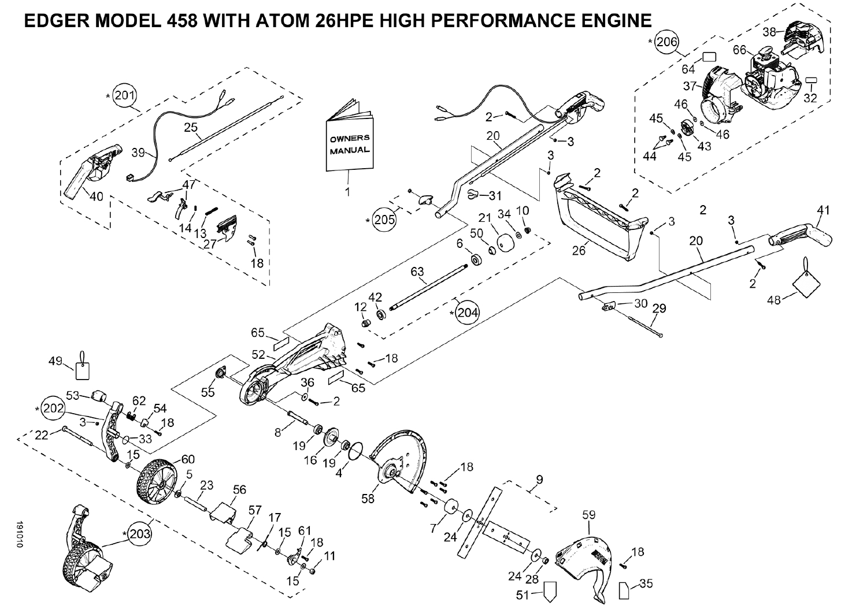